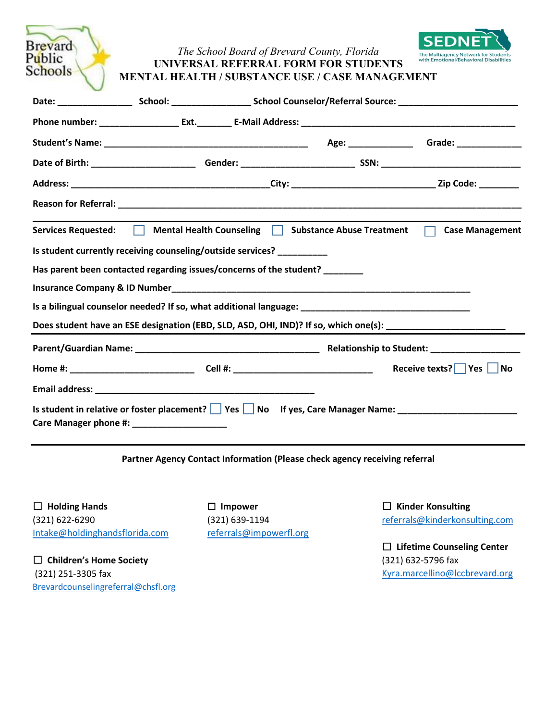| <b>Brevard</b><br>Public<br>Schools |                                                                             | The School Board of Brevard County, Florida | <b>UNIVERSAL REFERRAL FORM FOR STUDENTS</b><br>MENTAL HEALTH / SUBSTANCE USE / CASE MANAGEMENT       | SEDNET<br>The Multiagency Network for Students<br>with Emotional/Behavioral Disabilities                      |
|-------------------------------------|-----------------------------------------------------------------------------|---------------------------------------------|------------------------------------------------------------------------------------------------------|---------------------------------------------------------------------------------------------------------------|
|                                     |                                                                             |                                             |                                                                                                      |                                                                                                               |
|                                     |                                                                             |                                             |                                                                                                      |                                                                                                               |
|                                     |                                                                             |                                             |                                                                                                      |                                                                                                               |
|                                     |                                                                             |                                             |                                                                                                      |                                                                                                               |
|                                     |                                                                             |                                             |                                                                                                      |                                                                                                               |
|                                     |                                                                             |                                             |                                                                                                      |                                                                                                               |
|                                     |                                                                             |                                             | Services Requested: Mental Health Counseling   Substance Abuse Treatment                             | <b>Case Management</b><br>$\Box$                                                                              |
|                                     | Is student currently receiving counseling/outside services? _________       |                                             |                                                                                                      |                                                                                                               |
|                                     | Has parent been contacted regarding issues/concerns of the student? _______ |                                             |                                                                                                      |                                                                                                               |
|                                     |                                                                             |                                             |                                                                                                      |                                                                                                               |
|                                     |                                                                             |                                             | Is a bilingual counselor needed? If so, what additional language: __________________________________ |                                                                                                               |
|                                     |                                                                             |                                             |                                                                                                      | Does student have an ESE designation (EBD, SLD, ASD, OHI, IND)? If so, which one(s): ________________________ |
|                                     |                                                                             |                                             |                                                                                                      |                                                                                                               |
|                                     |                                                                             |                                             |                                                                                                      | Receive texts? Yes No                                                                                         |
|                                     |                                                                             |                                             |                                                                                                      |                                                                                                               |
|                                     | Care Manager phone #: ____________________                                  |                                             | Is student in relative or foster placement?   Yes   No If yes, Care Manager Name: __________________ |                                                                                                               |

## **Partner Agency Contact Information (Please check agency receiving referral**

☐ **Holding Hands** (321) 622-6290 [Intake@holdingh](mailto:Intake@holdinghandsflorida.com)andsflorida.com

☐ **Children's Home Society** (321) 251-3305 fax [Brevardcounselingreferral@chsfl.o](mailto:Brevardcounselingreferral@chsfl.org)rg ☐ **Impower** (321) 639-1194 [referrals@impowerfl.org](mailto:referrals@impowerfl.org) ☐ **Kinder Konsulting** [referrals@kinderkonsulting.com](mailto:referrals@kinderkonsulting.com)

☐ **Lifetime Counseling Center** (321) 632-5796 fax [Kyra.marcellino@lccbrevard.org](mailto:Kyra.marcellino@lccbrevard.org)